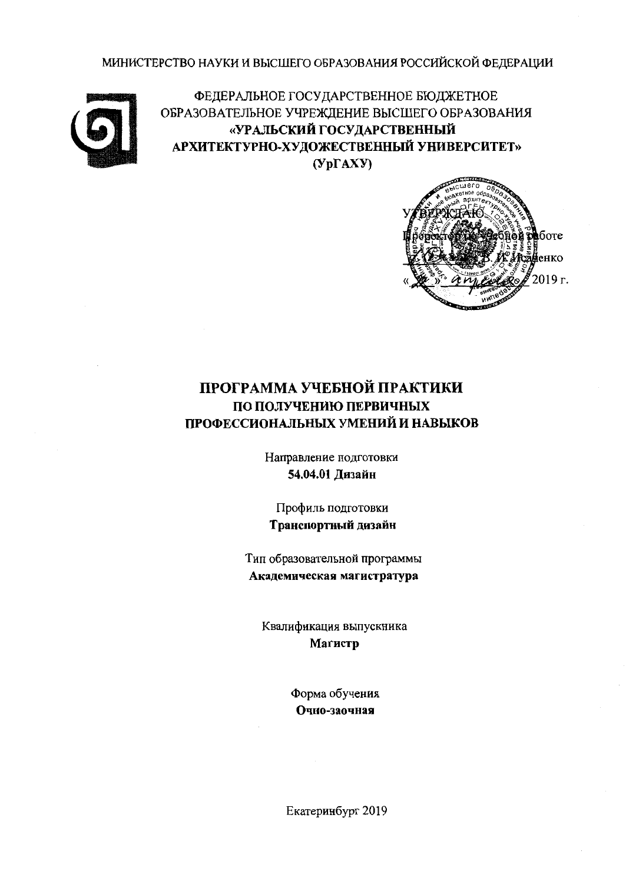МИНИСТЕРСТВО НАУКИ И ВЫСШЕГО ОБРАЗОВАНИЯ РОССИЙСКОЙ ФЕДЕРАЦИИ



ФЕДЕРАЛЬНОЕ ГОСУДАРСТВЕННОЕ БЮДЖЕТНОЕ ОБРАЗОВАТЕЛЬНОЕ УЧРЕЖДЕНИЕ ВЫСШЕГО ОБРАЗОВАНИЯ «УРАЛЬСКИЙ ГОСУДАРСТВЕННЫЙ АРХИТЕКТУРНО-ХУДОЖЕСТВЕННЫЙ УНИВЕРСИТЕТ»  $(Yp\Gamma A X Y)$ 



# ПРОГРАММА УЧЕБНОЙ ПРАКТИКИ ПО ПОЛУЧЕНИЮ ПЕРВИЧНЫХ ПРОФЕССИОНАЛЬНЫХ УМЕНИЙ И НАВЫКОВ

Направление подготовки 54.04.01 Дизайн

Профиль подготовки Транспортный дизайн

Тип образовательной программы Академическая магистратура

Квалификация выпускника Магистр

> Форма обучения Очно-заочная

Екатеринбург 2019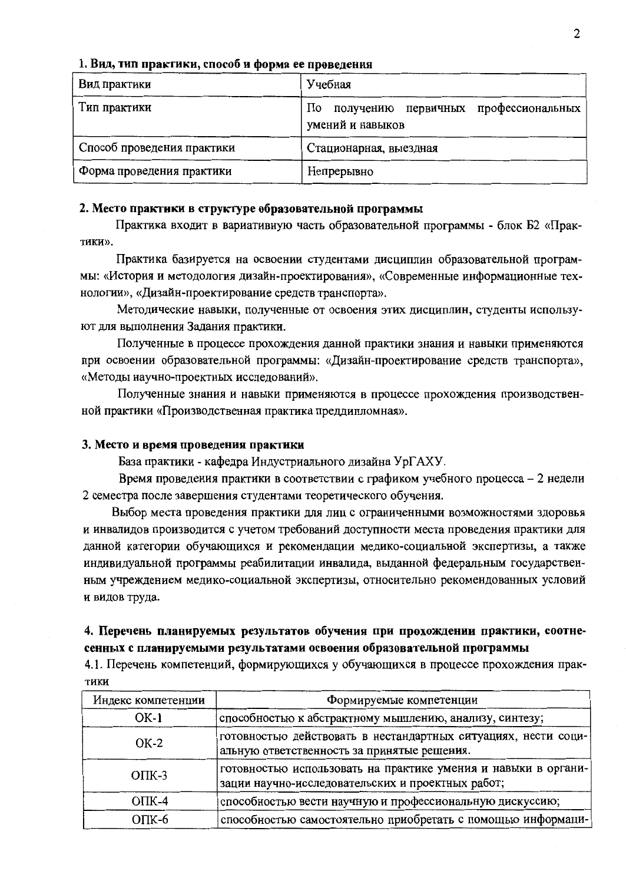|  |  |  | 1. Вид, тип практики, способ и форма ее проведения |
|--|--|--|----------------------------------------------------|
|  |  |  |                                                    |

| Вид практики               | Учебная                                                         |
|----------------------------|-----------------------------------------------------------------|
| Тип практики               | получению первичных профессиональных<br>Ho.<br>умений и навыков |
| Способ проведения практики | Стационарная, выездная                                          |
| Форма проведения практики  | Непрерывно                                                      |

### 2. Место практики в структуре образовательной программы

Практика входит в вариативную часть образовательной программы - блок Б2 «Практики».

Практика базируется на освоении студентами дисциплин образовательной программы: «История и методология дизайн-проектирования», «Современные информационные технологии», «Дизайн-проектирование средств транспорта».

Методические навыки, полученные от освоения этих дисциплин, студенты используют для выполнения Задания практики.

Полученные в процессе прохождения данной практики знания и навыки применяются при освоении образовательной программы: «Дизайн-проектирование средств транспорта», «Методы научно-проектных исследований».

Полученные знания и навыки применяются в процессе прохождения производственной практики «Производственная практика преддипломная».

#### 3. Место и время проведения практики

База практики - кафедра Индустриального дизайна УрГАХУ.

Время проведения практики в соответствии с графиком учебного процесса - 2 недели 2 семестра после завершения студентами теоретического обучения.

Выбор места проведения практики для лиц с ограниченными возможностями здоровья и инвалидов производится с учетом требований доступности места проведения практики для данной категории обучающихся и рекомендации медико-социальной экспертизы, а также индивидуальной программы реабилитации инвалида, выданной федеральным государственным учреждением медико-социальной экспертизы, относительно рекомендованных условий и видов труда.

### 4. Перечень планируемых результатов обучения при прохождении практики, соотнесенных с планируемыми результатами освоения образовательной программы

4.1. Перечень компетенций, формирующихся у обучающихся в процессе прохождения прак-**ТИКИ** 

| Индекс компетенции | Формируемые компетенции                                                                                             |
|--------------------|---------------------------------------------------------------------------------------------------------------------|
| $OK-1$             | способностью к абстрактному мышлению, анализу, синтезу;                                                             |
| $OK-2$             | готовностью действовать в нестандартных ситуациях, нести соци-<br>альную ответственность за принятые решения.       |
| $OIIK-3$           | готовностью использовать на практике умения и навыки в органи-<br>зации научно-исследовательских и проектных работ; |
| $OIIK-4$           | способностью вести научную и профессиональную дискуссию;                                                            |
| $O$ $TK-6$         | способностью самостоятельно приобретать с помощью информаци-                                                        |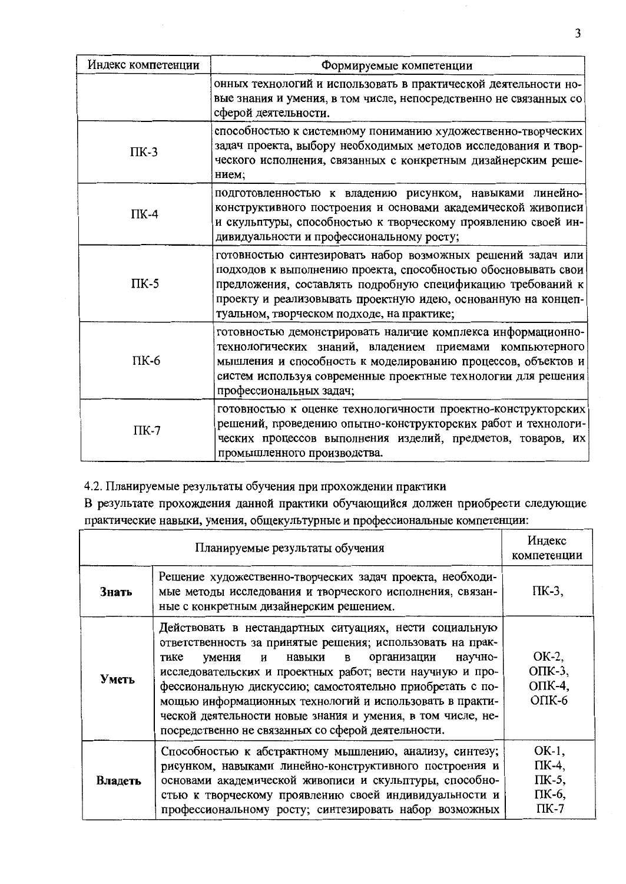| Индекс компетенции | Формируемые компетенции                                                                                                                                                                                                                                                                                    |
|--------------------|------------------------------------------------------------------------------------------------------------------------------------------------------------------------------------------------------------------------------------------------------------------------------------------------------------|
|                    | онных технологий и использовать в практической деятельности но-<br>вые знания и умения, в том числе, непосредственно не связанных со<br>сферой деятельности.                                                                                                                                               |
| $\Pi K-3$          | способностью к системному пониманию художественно-творческих<br>задач проекта, выбору необходимых методов исследования и твор-<br>ческого исполнения, связанных с конкретным дизайнерским реше-<br>нием;                                                                                                   |
| $\Pi K-4$          | подготовленностью к владению рисунком, навыками линейно-<br>конструктивного построения и основами академической живописи<br>и скульптуры, способностью к творческому проявлению своей ин-<br>дивидуальности и профессиональному росту;                                                                     |
| $\Pi K-5$          | готовностью синтезировать набор возможных решений задач или<br>подходов к выполнению проекта, способностью обосновывать свои<br>предложения, составлять подробную спецификацию требований к<br>проекту и реализовывать проектную идею, основанную на концеп-<br>туальном, творческом подходе, на практике; |
| ПК-6               | готовностью демонстрировать наличие комплекса информационно-<br>технологических знаний, владением приемами компьютерного<br>мышления и способность к моделированию процессов, объектов и<br>систем используя современные проектные технологии для решения<br>профессиональных задач;                       |
| $\Pi K-7$          | готовностью к оценке технологичности проектно-конструкторских<br>решений, проведению опытно-конструкторских работ и технологи-<br>ческих процессов выполнения изделий, предметов, товаров, их<br>промышленного производства.                                                                               |

4.2. Планируемые результаты обучения при прохождении практики

В результате прохождения данной практики обучающийся должен приобрести следующие практические навыки, умения, общекультурные и профессиональные компетенции:

|         | Индекс<br>компетенции                                                                                                                                                                                                                                                                                                                                                                                                                                                                            |                                                     |
|---------|--------------------------------------------------------------------------------------------------------------------------------------------------------------------------------------------------------------------------------------------------------------------------------------------------------------------------------------------------------------------------------------------------------------------------------------------------------------------------------------------------|-----------------------------------------------------|
| Знать   | Решение художественно-творческих задач проекта, необходи-<br>мые методы исследования и творческого исполнения, связан-<br>ные с конкретным дизайнерским решением.                                                                                                                                                                                                                                                                                                                                | ПК-3,                                               |
| Уметь   | Действовать в нестандартных ситуациях, нести социальную<br>ответственность за принятые решения; использовать на прак-<br>организации<br>научно-<br>навыки<br>умения<br>и<br>в<br>тике<br>исследовательских и проектных работ; вести научную и про-<br>фессиональную дискуссию; самостоятельно приобретать с по-<br>мощью информационных технологий и использовать в практи-<br>ческой деятельности новые знания и умения, в том числе, не-<br>посредственно не связанных со сферой деятельности. | OK-2,<br>$OIIK-3$ ,<br>ОПК-4,<br>$OIIK-6$           |
| Владеть | Способностью к абстрактному мышлению, анализу, синтезу;<br>рисунком, навыками линейно-конструктивного построения и<br>основами академической живописи и скульптуры, способно-<br>стью к творческому проявлению своей индивидуальности и<br>профессиональному росту; синтезировать набор возможных                                                                                                                                                                                                | OK-1,<br>ПК-4,<br>$\Pi K-5$ ,<br>ПК-6,<br>$\Pi K-7$ |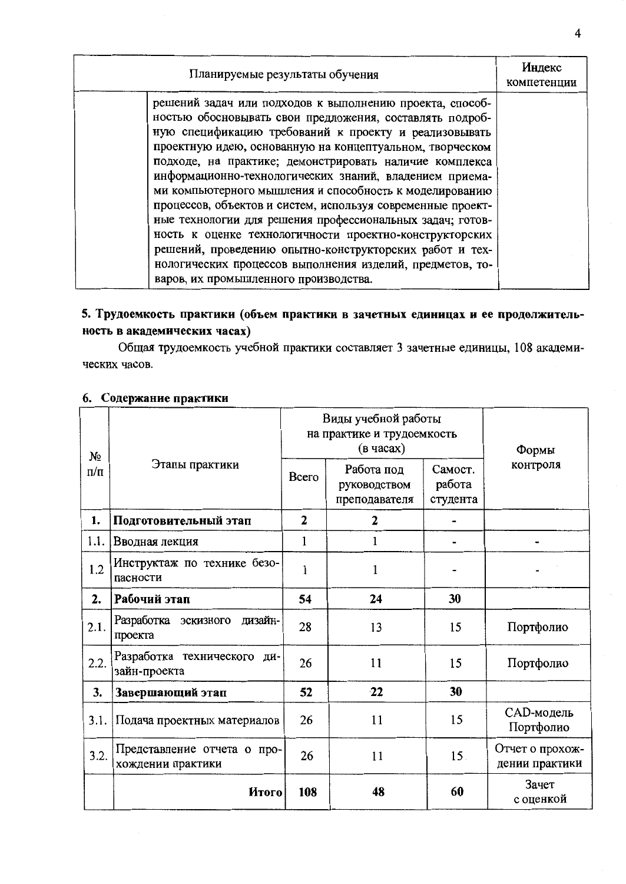| Планируемые результаты обучения                                                                                                                                                                                                                                                                                                                                                                                                                                                                                                                                                                                                                                                                                                                                                    | Индекс<br>компетенции |
|------------------------------------------------------------------------------------------------------------------------------------------------------------------------------------------------------------------------------------------------------------------------------------------------------------------------------------------------------------------------------------------------------------------------------------------------------------------------------------------------------------------------------------------------------------------------------------------------------------------------------------------------------------------------------------------------------------------------------------------------------------------------------------|-----------------------|
| решений задач или подходов к выполнению проекта, способ-<br>ностью обосновывать свои предложения, составлять подроб-<br>ную спецификацию требований к проекту и реализовывать<br>проектную идею, основанную на концептуальном, творческом<br>подходе, на практике; демонстрировать наличие комплекса<br>информационно-технологических знаний, владением приема-<br>ми компьютерного мышления и способность к моделированию<br>процессов, объектов и систем, используя современные проект-<br>ные технологии для решения профессиональных задач; готов-<br>ность к оценке технологичности проектно-конструкторских<br>решений, проведению опытно-конструкторских работ и тех-<br>нологических процессов выполнения изделий, предметов, то-<br>варов, их промышленного производства. |                       |

# 5. Трудоемкость практики (объем практики в зачетных единицах и ее продолжительность в академических часах)

Общая трудоемкость учебной практики составляет 3 зачетные единицы, 108 академических часов.

# 6. Содержание практики

| $N_2$     |                                                  | Виды учебной работы<br>на практике и трудоемкость<br>(в часах) |                                             |                               | Формы                             |
|-----------|--------------------------------------------------|----------------------------------------------------------------|---------------------------------------------|-------------------------------|-----------------------------------|
| $\pi/\pi$ | Этапы практики                                   | Всего                                                          | Работа под<br>руководством<br>преподавателя | Самост.<br>работа<br>студента | контроля                          |
| 1.        | Подготовительный этап                            | $\mathbf{2}$                                                   | $\mathbf{2}$                                |                               |                                   |
| 1.1.      | Вводная лекция                                   | 1                                                              |                                             |                               |                                   |
| 1.2       | Инструктаж по технике безо-<br>пасности          | 1                                                              | 1                                           |                               |                                   |
| 2.        | Рабочий этап                                     | 54                                                             | 24                                          | 30                            |                                   |
| 2.1.      | Разработка эскизного<br>дизайн-<br>проекта       | 28                                                             | 13                                          | 15                            | Портфолио                         |
| 2.2.      | Разработка технического<br>ДИ-<br>зайн-проекта   | 26                                                             | 11                                          | 15                            | Портфолио                         |
| 3.        | Завершающий этап                                 | 52                                                             | 22                                          | 30                            |                                   |
| 3.1.      | Подача проектных материалов                      | 26                                                             | 11                                          | 15                            | САD-модель<br>Портфолио           |
| 3.2.      | Представление отчета о про-<br>хождении практики | 26                                                             | 11                                          | 15.                           | Отчет о прохож-<br>дении практики |
|           | Итого                                            | 108                                                            | 48                                          | 60                            | Зачет<br>с оценкой                |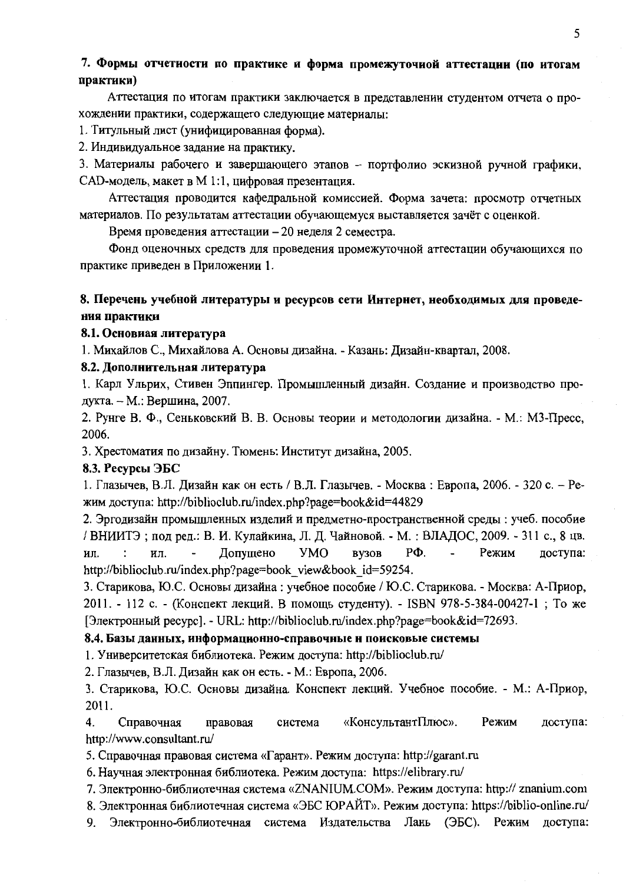### 7. Формы отчетности по практике и форма промежуточной аттестации (по итогам практики)

Аттестация по итогам практики заключается в представлении студентом отчета о прохождении практики, содержащего следующие материалы:

1. Титульный лист (унифицированная форма).

2. Индивидуальное залание на практику.

3. Материалы рабочего и завершающего этапов - портфолио эскизной ручной графики, CAD-модель, макет в М 1:1, цифровая презентация.

Аттестация проводится кафедральной комиссией. Форма зачета: просмотр отчетных материалов. По результатам аттестации обучающемуся выставляется зачёт с оценкой.

Время проведения аттестации - 20 неделя 2 семестра.

Фонд оценочных средств для проведения промежуточной аттестации обучающихся по практике приведен в Приложении 1.

### 8. Перечень учебной литературы и ресурсов сети Интернет, необходимых для проведения практики

### 8.1. Основиая литература

1. Михайлов С., Михайлова А. Основы дизайна. - Казань: Дизайн-квартал, 2008.

### 8.2. Дополнительная литература

1. Карл Ульрих, Стивен Эппингер. Промышленный дизайн. Создание и производство продукта. - М.: Вершина, 2007.

2. Рунге В. Ф., Сеньковский В. В. Основы теории и методологии дизайна. - М.: МЗ-Пресс, 2006.

3. Хрестоматия по дизайну. Тюмень: Институт дизайна, 2005.

### 8.3. Ресурсы ЭБС

1. Глазычев, В.Л. Дизайн как он есть / В.Л. Глазычев. - Москва: Европа, 2006. - 320 с. - Режим доступа: http://biblioclub.ru/index.php?page=book&id=44829

2. Эргодизайн промышленных изделий и предметно-пространственной среды: учеб. пособие / ВНИИТЭ; под ред.: В. И. Кулайкина, Л. Д. Чайновой. - М. : ВЛАДОС, 2009. - 311 с., 8 цв.  $\cdot$ Допущено **YMO**  $P\Phi$ . Режим ИЛ. ил.  $\ddot{\phantom{a}}$ **BY3OB** доступа: http://biblioclub.ru/index.php?page=book view&book id=59254.

3. Старикова, Ю.С. Основы дизайна: учебное пособие / Ю.С. Старикова. - Москва: А-Приор, 2011. - 112 с. - (Конспект лекций. В помощь студенту). - ISBN 978-5-384-00427-1; То же [Электронный ресурс]. - URL: http://biblioclub.ru/index.php?page=book&id=72693.

### 8.4. Базы данных, информационно-справочные и поисковые системы

1. Университетская библиотека. Режим доступа: http://biblioclub.ru/

2. Глазычев, В.Л. Дизайн как он есть. - М.: Европа, 2006.

3. Старикова, Ю.С. Основы дизайна. Конспект лекций. Учебное пособие. - М.: А-Приор, 2011.

 $\overline{4}$ . Справочная правовая «КонсультантПлюс». Режим доступа: система http://www.consultant.ru/

5. Справочная правовая система «Гарант». Режим доступа: http://garant.ru

6. Научная электронная библиотека. Режим доступа: https://elibrary.ru/

7. Электронно-библиотечная система «ZNANIUM.COM». Режим доступа: http:// znanium.com

8. Электронная библиотечная система «ЭБС ЮРАЙТ». Режим доступа: https://biblio-online.ru/

Электронно-библиотечная система Издательства Лань (ЭБС). Режим 9. доступа: